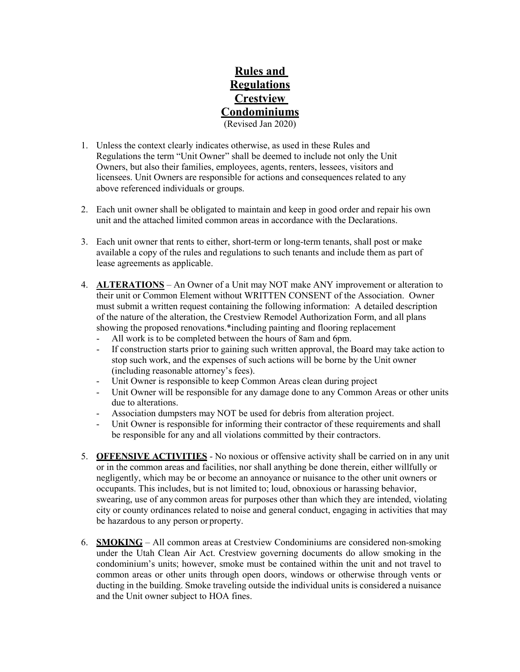## **Rules and Regulations Crestview Condominiums** (Revised Jan 2020)

- 1. Unless the context clearly indicates otherwise, as used in these Rules and Regulations the term "Unit Owner" shall be deemed to include not only the Unit Owners, but also their families, employees, agents, renters, lessees, visitors and licensees. Unit Owners are responsible for actions and consequences related to any above referenced individuals or groups.
- 2. Each unit owner shall be obligated to maintain and keep in good order and repair his own unit and the attached limited common areas in accordance with the Declarations.
- 3. Each unit owner that rents to either, short-term or long-term tenants, shall post or make available a copy of the rules and regulations to such tenants and include them as part of lease agreements as applicable.
- 4. **ALTERATIONS** An Owner of a Unit may NOT make ANY improvement or alteration to their unit or Common Element without WRITTEN CONSENT of the Association. Owner must submit a written request containing the following information: A detailed description of the nature of the alteration, the Crestview Remodel Authorization Form, and all plans showing the proposed renovations.\*including painting and flooring replacement
	- All work is to be completed between the hours of 8am and 6pm.
	- If construction starts prior to gaining such written approval, the Board may take action to stop such work, and the expenses of such actions will be borne by the Unit owner (including reasonable attorney's fees).
	- Unit Owner is responsible to keep Common Areas clean during project
	- Unit Owner will be responsible for any damage done to any Common Areas or other units due to alterations.
	- Association dumpsters may NOT be used for debris from alteration project.
	- Unit Owner is responsible for informing their contractor of these requirements and shall be responsible for any and all violations committed by their contractors.
- 5. **OFFENSIVE ACTIVITIES** No noxious or offensive activity shall be carried on in any unit or in the common areas and facilities, nor shall anything be done therein, either willfully or negligently, which may be or become an annoyance or nuisance to the other unit owners or occupants. This includes, but is not limited to; loud, obnoxious or harassing behavior, swearing, use of anycommon areas for purposes other than which they are intended, violating city or county ordinances related to noise and general conduct, engaging in activities that may be hazardous to any person orproperty.
- 6. **SMOKING** All common areas at Crestview Condominiums are considered non-smoking under the Utah Clean Air Act. Crestview governing documents do allow smoking in the condominium's units; however, smoke must be contained within the unit and not travel to common areas or other units through open doors, windows or otherwise through vents or ducting in the building. Smoke traveling outside the individual units is considered a nuisance and the Unit owner subject to HOA fines.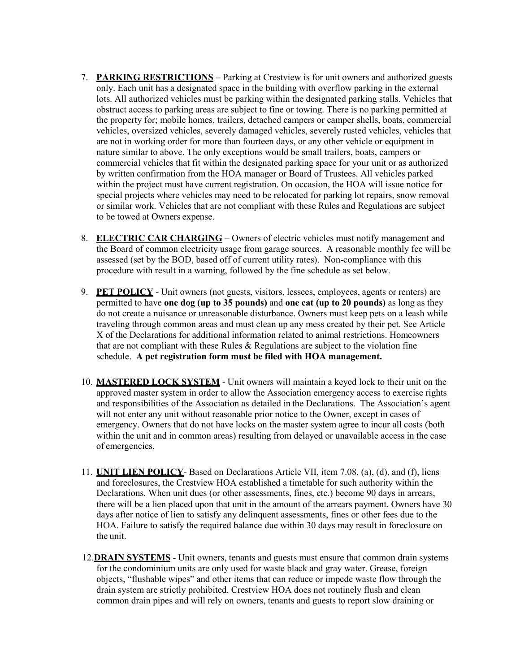- 7. **PARKING RESTRICTIONS** Parking at Crestview is for unit owners and authorized guests only. Each unit has a designated space in the building with overflow parking in the external lots. All authorized vehicles must be parking within the designated parking stalls. Vehicles that obstruct access to parking areas are subject to fine or towing. There is no parking permitted at the property for; mobile homes, trailers, detached campers or camper shells, boats, commercial vehicles, oversized vehicles, severely damaged vehicles, severely rusted vehicles, vehicles that are not in working order for more than fourteen days, or any other vehicle or equipment in nature similar to above. The only exceptions would be small trailers, boats, campers or commercial vehicles that fit within the designated parking space for your unit or as authorized by written confirmation from the HOA manager or Board of Trustees. All vehicles parked within the project must have current registration. On occasion, the HOA will issue notice for special projects where vehicles may need to be relocated for parking lot repairs, snow removal or similar work. Vehicles that are not compliant with these Rules and Regulations are subject to be towed at Owners expense.
- 8. **ELECTRIC CAR CHARGING** Owners of electric vehicles must notify management and the Board of common electricity usage from garage sources. A reasonable monthly fee will be assessed (set by the BOD, based off of current utility rates). Non-compliance with this procedure with result in a warning, followed by the fine schedule as set below.
- 9. **PET POLICY** Unit owners (not guests, visitors, lessees, employees, agents or renters) are permitted to have **one dog (up to 35 pounds)** and **one cat (up to 20 pounds)** as long as they do not create a nuisance or unreasonable disturbance. Owners must keep pets on a leash while traveling through common areas and must clean up any mess created by their pet. See Article X of the Declarations for additional information related to animal restrictions. Homeowners that are not compliant with these Rules  $\&$  Regulations are subject to the violation fine schedule. **A pet registration form must be filed with HOA management.**
- 10. **MASTERED LOCK SYSTEM** Unit owners will maintain a keyed lock to their unit on the approved master system in order to allow the Association emergency access to exercise rights and responsibilities of the Association as detailed in the Declarations. The Association's agent will not enter any unit without reasonable prior notice to the Owner, except in cases of emergency. Owners that do not have locks on the master system agree to incur all costs (both within the unit and in common areas) resulting from delayed or unavailable access in the case of emergencies.
- 11. **UNIT LIEN POLICY** Based on Declarations Article VII, item 7.08, (a), (d), and (f), liens and foreclosures, the Crestview HOA established a timetable for such authority within the Declarations. When unit dues (or other assessments, fines, etc.) become 90 days in arrears, there will be a lien placed upon that unit in the amount of the arrears payment. Owners have 30 days after notice of lien to satisfy any delinquent assessments, fines or other fees due to the HOA. Failure to satisfy the required balance due within 30 days may result in foreclosure on the unit.
- 12.**DRAIN SYSTEMS** Unit owners, tenants and guests must ensure that common drain systems for the condominium units are only used for waste black and gray water. Grease, foreign objects, "flushable wipes" and other items that can reduce or impede waste flow through the drain system are strictly prohibited. Crestview HOA does not routinely flush and clean common drain pipes and will rely on owners, tenants and guests to report slow draining or